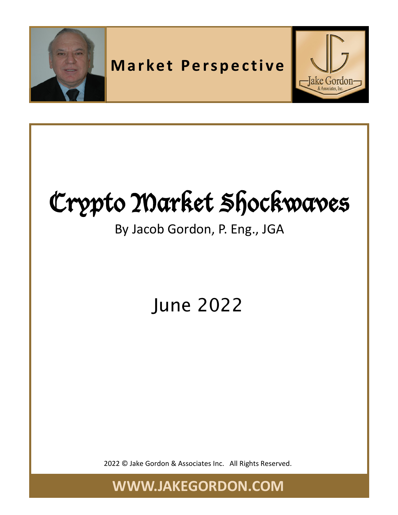

# Crypto Market Shockwaves

#### By Jacob Gordon, P. Eng., JGA

### June 2022

2022 © Jake Gordon & Associates Inc. All Rights Reserved.

**WWW.JAKEGORDON.COM**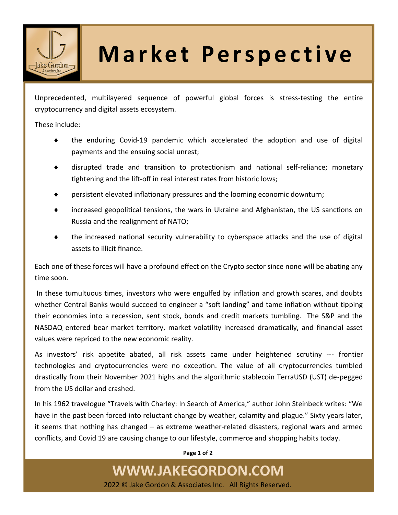

## **Market Perspective**

Unprecedented, multilayered sequence of powerful global forces is stress-testing the entire cryptocurrency and digital assets ecosystem.

These include:

- the enduring Covid-19 pandemic which accelerated the adoption and use of digital payments and the ensuing social unrest;
- disrupted trade and transition to protectionism and national self-reliance; monetary tightening and the lift-off in real interest rates from historic lows;
- persistent elevated inflationary pressures and the looming economic downturn;
- increased geopolitical tensions, the wars in Ukraine and Afghanistan, the US sanctions on Russia and the realignment of NATO;
- $\bullet$  the increased national security vulnerability to cyberspace attacks and the use of digital assets to illicit finance.

Each one of these forces will have a profound effect on the Crypto sector since none will be abating any time soon.

In these tumultuous times, investors who were engulfed by inflation and growth scares, and doubts whether Central Banks would succeed to engineer a "soft landing" and tame inflation without tipping their economies into a recession, sent stock, bonds and credit markets tumbling. The S&P and the NASDAQ entered bear market territory, market volatility increased dramatically, and financial asset values were repriced to the new economic reality.

As investors' risk appetite abated, all risk assets came under heightened scrutiny --- frontier technologies and cryptocurrencies were no exception. The value of all cryptocurrencies tumbled drastically from their November 2021 highs and the algorithmic stablecoin TerraUSD (UST) de-pegged from the US dollar and crashed.

In his 1962 travelogue "Travels with Charley: In Search of America," author John Steinbeck writes: "We have in the past been forced into reluctant change by weather, calamity and plague." Sixty years later, it seems that nothing has changed – as extreme weather-related disasters, regional wars and armed conflicts, and Covid 19 are causing change to our lifestyle, commerce and shopping habits today.

**Page 1 of 2**

#### **WWW.JAKEGORDON.COM**

2022 © Jake Gordon & Associates Inc. All Rights Reserved.